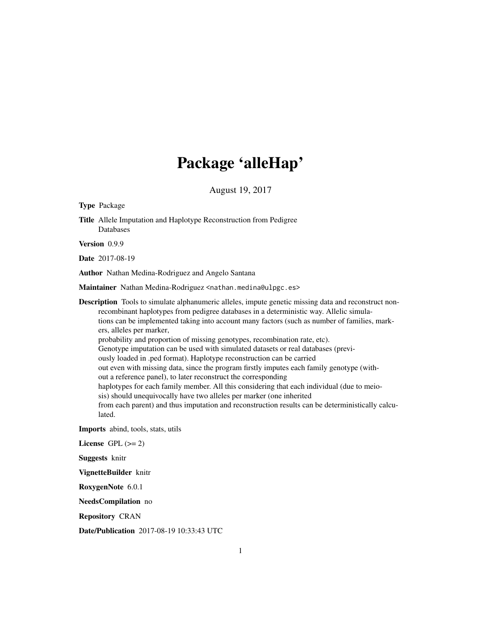# Package 'alleHap'

August 19, 2017

Title Allele Imputation and Haplotype Reconstruction from Pedigree

Version 0.9.9 Date 2017-08-19 Author Nathan Medina-Rodriguez and Angelo Santana Maintainer Nathan Medina-Rodriguez <nathan.medina@ulpgc.es> Description Tools to simulate alphanumeric alleles, impute genetic missing data and reconstruct nonrecombinant haplotypes from pedigree databases in a deterministic way. Allelic simulations can be implemented taking into account many factors (such as number of families, markers, alleles per marker, probability and proportion of missing genotypes, recombination rate, etc). Genotype imputation can be used with simulated datasets or real databases (previously loaded in .ped format). Haplotype reconstruction can be carried out even with missing data, since the program firstly imputes each family genotype (without a reference panel), to later reconstruct the corresponding haplotypes for each family member. All this considering that each individual (due to meiosis) should unequivocally have two alleles per marker (one inherited from each parent) and thus imputation and reconstruction results can be deterministically calculated. Imports abind, tools, stats, utils

License GPL  $(>= 2)$ 

Suggests knitr

Type Package

Databases

VignetteBuilder knitr

RoxygenNote 6.0.1

NeedsCompilation no

Repository CRAN

Date/Publication 2017-08-19 10:33:43 UTC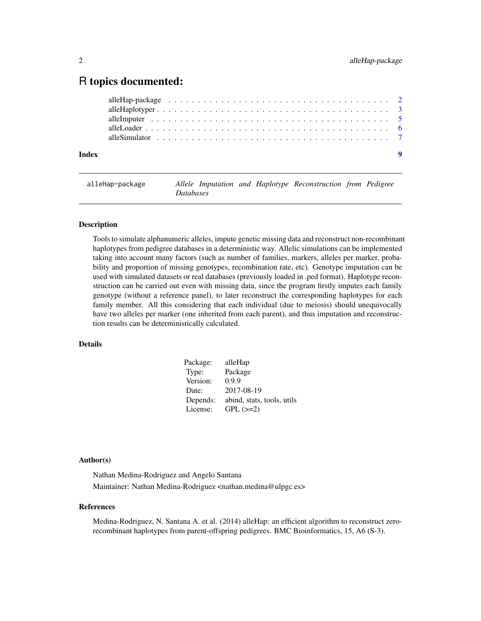# <span id="page-1-0"></span>R topics documented:

| Index |  |  |  |  |  |  |  |  |  |  |  |  |  |  |  |  |  |
|-------|--|--|--|--|--|--|--|--|--|--|--|--|--|--|--|--|--|
|       |  |  |  |  |  |  |  |  |  |  |  |  |  |  |  |  |  |
|       |  |  |  |  |  |  |  |  |  |  |  |  |  |  |  |  |  |
|       |  |  |  |  |  |  |  |  |  |  |  |  |  |  |  |  |  |
|       |  |  |  |  |  |  |  |  |  |  |  |  |  |  |  |  |  |
|       |  |  |  |  |  |  |  |  |  |  |  |  |  |  |  |  |  |

# alleHap-package *Allele Imputation and Haplotype Reconstruction from Pedigree Databases*

# **Description**

Tools to simulate alphanumeric alleles, impute genetic missing data and reconstruct non-recombinant haplotypes from pedigree databases in a deterministic way. Allelic simulations can be implemented taking into account many factors (such as number of families, markers, alleles per marker, probability and proportion of missing genotypes, recombination rate, etc). Genotype imputation can be used with simulated datasets or real databases (previously loaded in .ped format). Haplotype reconstruction can be carried out even with missing data, since the program firstly imputes each family genotype (without a reference panel), to later reconstruct the corresponding haplotypes for each family member. All this considering that each individual (due to meiosis) should unequivocally have two alleles per marker (one inherited from each parent), and thus imputation and reconstruction results can be deterministically calculated.

# Details

| Package: | alleHap                    |
|----------|----------------------------|
| Type:    | Package                    |
| Version: | 0.9.9                      |
| Date:    | 2017-08-19                 |
| Depends: | abind, stats, tools, utils |
| License: | $GPL (=2)$                 |

# Author(s)

Nathan Medina-Rodriguez and Angelo Santana Maintainer: Nathan Medina-Rodriguez <nathan.medina@ulpgc.es>

#### References

Medina-Rodriguez, N. Santana A. et al. (2014) alleHap: an efficient algorithm to reconstruct zerorecombinant haplotypes from parent-offspring pedigrees. BMC Bioinformatics, 15, A6 (S-3).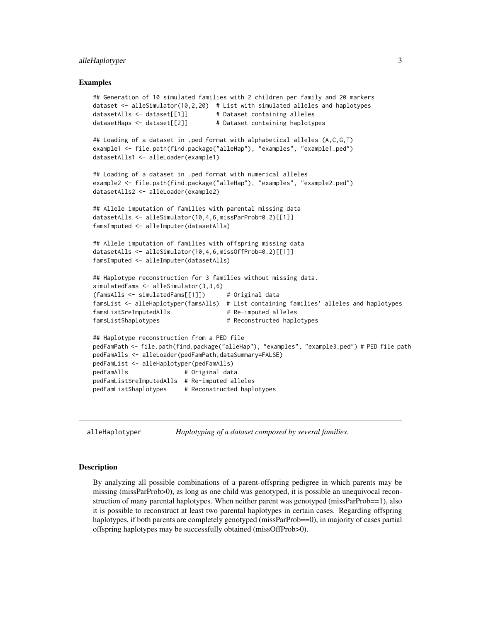# <span id="page-2-0"></span>alleHaplotyper 3

#### Examples

```
## Generation of 10 simulated families with 2 children per family and 20 markers
dataset \leq alleSimulator(10,2,20) # List with simulated alleles and haplotypes
datasetAlls <- dataset[[1]] # Dataset containing alleles
datasetHaps <- dataset[[2]] # Dataset containing haplotypes
## Loading of a dataset in .ped format with alphabetical alleles (A,C,G,T)
example1 <- file.path(find.package("alleHap"), "examples", "example1.ped")
datasetAlls1 <- alleLoader(example1)
## Loading of a dataset in .ped format with numerical alleles
example2 <- file.path(find.package("alleHap"), "examples", "example2.ped")
datasetAlls2 <- alleLoader(example2)
## Allele imputation of families with parental missing data
datasetAlls <- alleSimulator(10,4,6,missParProb=0.2)[[1]]
famsImputed <- alleImputer(datasetAlls)
## Allele imputation of families with offspring missing data
datasetAlls <- alleSimulator(10,4,6,missOffProb=0.2)[[1]]
famsImputed <- alleImputer(datasetAlls)
## Haplotype reconstruction for 3 families without missing data.
simulatedFams <- alleSimulator(3,3,6)
(famsAlls <- simulatedFams[[1]]) # Original data
famsList <- alleHaplotyper(famsAlls) # List containing families' alleles and haplotypes
famsList$reImputedAlls # Re-imputed alleles
famsList$haplotypes # Reconstructed haplotypes
## Haplotype reconstruction from a PED file
pedFamPath <- file.path(find.package("alleHap"), "examples", "example3.ped") # PED file path
pedFamAlls <- alleLoader(pedFamPath,dataSummary=FALSE)
pedFamList <- alleHaplotyper(pedFamAlls)
pedFamAlls # Original data
pedFamList$reImputedAlls # Re-imputed alleles
pedFamList$haplotypes # Reconstructed haplotypes
```
alleHaplotyper *Haplotyping of a dataset composed by several families.*

#### Description

By analyzing all possible combinations of a parent-offspring pedigree in which parents may be missing (missParProb>0), as long as one child was genotyped, it is possible an unequivocal reconstruction of many parental haplotypes. When neither parent was genotyped (missParProb==1), also it is possible to reconstruct at least two parental haplotypes in certain cases. Regarding offspring haplotypes, if both parents are completely genotyped (missParProb==0), in majority of cases partial offspring haplotypes may be successfully obtained (missOffProb>0).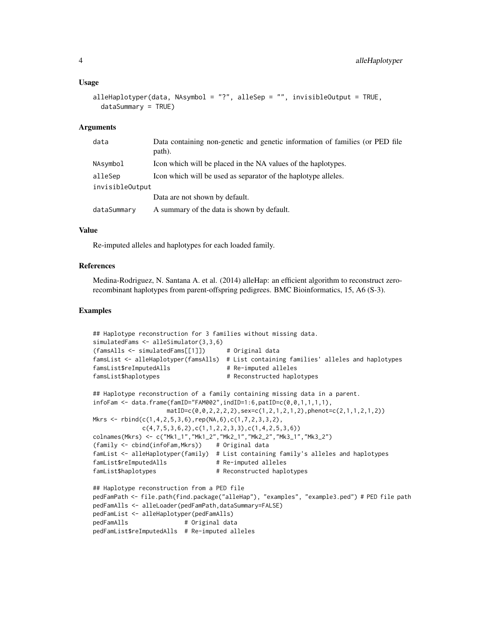#### Usage

```
alleHaplotyper(data, NAsymbol = "?", alleSep = "", invisibleOutput = TRUE,
  dataSummary = TRUE)
```
#### Arguments

| data            | Data containing non-genetic and genetic information of families (or PED file<br>path). |
|-----------------|----------------------------------------------------------------------------------------|
| NAsymbol        | Icon which will be placed in the NA values of the haplotypes.                          |
| alleSep         | Icon which will be used as separator of the haplotype alleles.                         |
| invisibleOutput |                                                                                        |
|                 | Data are not shown by default.                                                         |
| dataSummary     | A summary of the data is shown by default.                                             |

#### Value

Re-imputed alleles and haplotypes for each loaded family.

## References

Medina-Rodriguez, N. Santana A. et al. (2014) alleHap: an efficient algorithm to reconstruct zerorecombinant haplotypes from parent-offspring pedigrees. BMC Bioinformatics, 15, A6 (S-3).

# Examples

```
## Haplotype reconstruction for 3 families without missing data.
simulatedFams <- alleSimulator(3,3,6)
(famsAlls <- simulatedFams[[1]]) # Original data
famsList <- alleHaplotyper(famsAlls) # List containing families' alleles and haplotypes
famsList$reImputedAlls # Re-imputed alleles
famsList$haplotypes # Reconstructed haplotypes
## Haplotype reconstruction of a family containing missing data in a parent.
infoFam <- data.frame(famID="FAM002",indID=1:6,patID=c(0,0,1,1,1,1),
                   matID=c(0,0,2,2,2,2), sex=c(1,2,1,2,1,2), phenot=c(2,1,1,2,1,2)Mkrs \leq rbind(c(1,4,2,5,3,6),rep(NA,6),c(1,7,2,3,3,2),
            c(4,7,5,3,6,2),c(1,1,2,2,3,3),c(1,4,2,5,3,6))colnames(Mkrs) <- c("Mk1_1","Mk1_2","Mk2_1","Mk2_2","Mk3_1","Mk3_2")
(family <- cbind(infoFam,Mkrs)) # Original data
famList <- alleHaplotyper(family) # List containing family's alleles and haplotypes
famList$reImputedAlls # Re-imputed alleles
famList$haplotypes # Reconstructed haplotypes
## Haplotype reconstruction from a PED file
pedFamPath <- file.path(find.package("alleHap"), "examples", "example3.ped") # PED file path
pedFamAlls <- alleLoader(pedFamPath,dataSummary=FALSE)
pedFamList <- alleHaplotyper(pedFamAlls)
pedFamAlls # Original data
pedFamList$reImputedAlls # Re-imputed alleles
```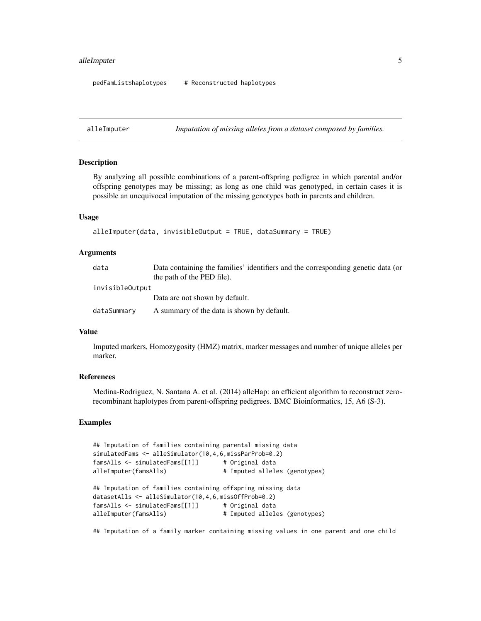# <span id="page-4-0"></span>all eImputer 5

pedFamList\$haplotypes # Reconstructed haplotypes

alleImputer *Imputation of missing alleles from a dataset composed by families.*

## **Description**

By analyzing all possible combinations of a parent-offspring pedigree in which parental and/or offspring genotypes may be missing; as long as one child was genotyped, in certain cases it is possible an unequivocal imputation of the missing genotypes both in parents and children.

#### Usage

```
alleImputer(data, invisibleOutput = TRUE, dataSummary = TRUE)
```
#### Arguments

| data            | Data containing the families' identifiers and the corresponding genetic data (or |
|-----------------|----------------------------------------------------------------------------------|
|                 | the path of the PED file).                                                       |
| invisibleOutput |                                                                                  |
|                 | Data are not shown by default.                                                   |
| dataSummary     | A summary of the data is shown by default.                                       |

# Value

Imputed markers, Homozygosity (HMZ) matrix, marker messages and number of unique alleles per marker.

#### **References**

Medina-Rodriguez, N. Santana A. et al. (2014) alleHap: an efficient algorithm to reconstruct zerorecombinant haplotypes from parent-offspring pedigrees. BMC Bioinformatics, 15, A6 (S-3).

# Examples

```
## Imputation of families containing parental missing data
simulatedFams <- alleSimulator(10,4,6,missParProb=0.2)
famsAlls <- simulatedFams[[1]] # Original data
alleImputer(famsAlls) # Imputed alleles (genotypes)
## Imputation of families containing offspring missing data
datasetAlls <- alleSimulator(10,4,6,missOffProb=0.2)
famsAlls <- simulatedFams[[1]] # Original data
alleImputer(famsAlls) # Imputed alleles (genotypes)
```
## Imputation of a family marker containing missing values in one parent and one child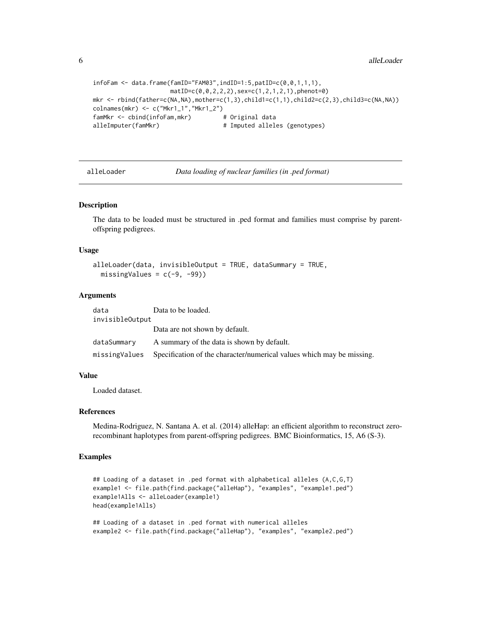```
infoFam <- data.frame(famID="FAM03",indID=1:5,patID=c(0,0,1,1,1),
                    matID=c(0,0,2,2,2),sex=c(1,2,1,2,1),phenot=0)
mkr <- rbined(flather=c(MA,NA), mother=c(1,3),child1=c(1,1),child2=c(2,3),child3=c(NA,NA))colnames(mkr) <- c("Mkr1_1","Mkr1_2")
famMkr <- cbind(infoFam,mkr) # Original data
alleImputer(famMkr) # Imputed alleles (genotypes)
```
alleLoader *Data loading of nuclear families (in .ped format)*

#### Description

The data to be loaded must be structured in .ped format and families must comprise by parentoffspring pedigrees.

#### Usage

```
alleLoader(data, invisibleOutput = TRUE, dataSummary = TRUE,
 missingValues = c(-9, -99))
```
#### Arguments

data Data to be loaded. invisibleOutput

|             | Data are not shown by default.                                                       |
|-------------|--------------------------------------------------------------------------------------|
| dataSummary | A summary of the data is shown by default.                                           |
|             | missing Values Specification of the character/numerical values which may be missing. |

#### Value

Loaded dataset.

#### References

Medina-Rodriguez, N. Santana A. et al. (2014) alleHap: an efficient algorithm to reconstruct zerorecombinant haplotypes from parent-offspring pedigrees. BMC Bioinformatics, 15, A6 (S-3).

# Examples

```
## Loading of a dataset in .ped format with alphabetical alleles (A,C,G,T)
example1 <- file.path(find.package("alleHap"), "examples", "example1.ped")
example1Alls <- alleLoader(example1)
head(example1Alls)
```

```
## Loading of a dataset in .ped format with numerical alleles
example2 <- file.path(find.package("alleHap"), "examples", "example2.ped")
```
<span id="page-5-0"></span>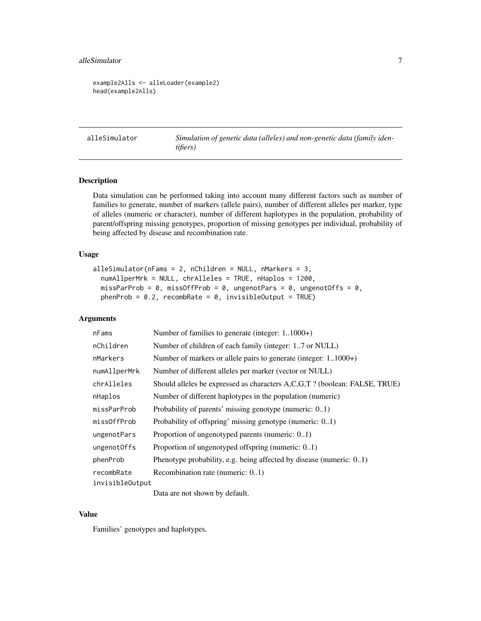#### <span id="page-6-0"></span>alleSimulator 7 and 2008 and 2008 and 2008 and 2008 and 2008 and 2008 and 2008 and 2008 and 2008 and 2008 and 2008 and 2008 and 2008 and 2008 and 2008 and 2008 and 2008 and 2008 and 2008 and 2008 and 2008 and 2008 and 2008

```
example2Alls <- alleLoader(example2)
head(example2Alls)
```
alleSimulator *Simulation of genetic data (alleles) and non-genetic data (family identifiers)*

# Description

Data simulation can be performed taking into account many different factors such as number of families to generate, number of markers (allele pairs), number of different alleles per marker, type of alleles (numeric or character), number of different haplotypes in the population, probability of parent/offspring missing genotypes, proportion of missing genotypes per individual, probability of being affected by disease and recombination rate.

# Usage

```
alleSimulator(nFams = 2, nChildren = NULL, nMarkers = 3,
  numAllperMrk = NULL, chrAlleles = TRUE, nHaplos = 1200,
 missParProb = 0, missOffProb = 0, ungenotPars = 0, ungenotOffs = 0,
 phenProb = 0.2, recombRate = 0, invisibleOutput = TRUE)
```
# Arguments

| nFams                  | Number of families to generate (integer: 11000+)                          |
|------------------------|---------------------------------------------------------------------------|
| nChildren              | Number of children of each family (integer: 17 or NULL)                   |
| nMarkers               | Number of markers or allele pairs to generate (integer: 11000+)           |
| numAllperMrk           | Number of different alleles per marker (vector or NULL)                   |
| chrAlleles             | Should alleles be expressed as characters A,C,G,T? (boolean: FALSE, TRUE) |
| nHaplos                | Number of different haplotypes in the population (numeric)                |
| missParProb            | Probability of parents' missing genotype (numeric: 01)                    |
| missOffProb            | Probability of offspring' missing genotype (numeric: 01)                  |
| ungenotPars            | Proportion of ungenotyped parents (numeric: 01)                           |
| ungenotOffs            | Proportion of ungenotyped offspring (numeric: 01)                         |
| phenProb               | Phenotype probability, e.g. being affected by disease (numeric: $0.1$ )   |
| recombRate             | Recombination rate (numeric: 01)                                          |
| <i>invisibleOutput</i> |                                                                           |
|                        | Data are not shown by default.                                            |

#### Value

Families' genotypes and haplotypes.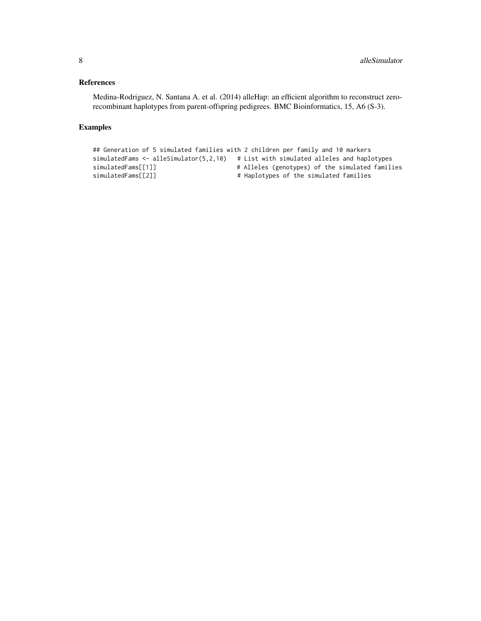# References

Medina-Rodriguez, N. Santana A. et al. (2014) alleHap: an efficient algorithm to reconstruct zerorecombinant haplotypes from parent-offspring pedigrees. BMC Bioinformatics, 15, A6 (S-3).

# Examples

```
## Generation of 5 simulated families with 2 children per family and 10 markers
simulatedFams <- alleSimulator(5,2,10) # List with simulated alleles and haplotypes
simulatedFams[[1]] # Alleles (genotypes) of the simulated families
simulatedFams[[2]] \qquad \qquad \qquad \qquad # Haplotypes of the simulated families
```